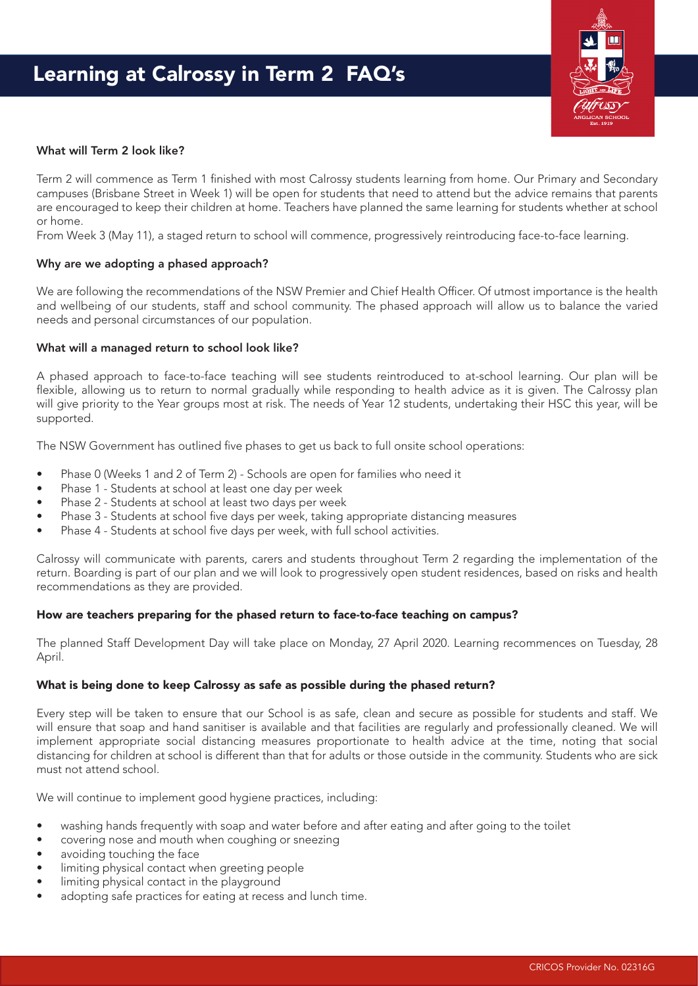

## What will Term 2 look like?

Term 2 will commence as Term 1 finished with most Calrossy students learning from home. Our Primary and Secondary campuses (Brisbane Street in Week 1) will be open for students that need to attend but the advice remains that parents are encouraged to keep their children at home. Teachers have planned the same learning for students whether at school or home.

From Week 3 (May 11), a staged return to school will commence, progressively reintroducing face-to-face learning.

### Why are we adopting a phased approach?

We are following the recommendations of the NSW Premier and Chief Health Officer. Of utmost importance is the health and wellbeing of our students, staff and school community. The phased approach will allow us to balance the varied needs and personal circumstances of our population.

### What will a managed return to school look like?

A phased approach to face-to-face teaching will see students reintroduced to at-school learning. Our plan will be flexible, allowing us to return to normal gradually while responding to health advice as it is given. The Calrossy plan will give priority to the Year groups most at risk. The needs of Year 12 students, undertaking their HSC this year, will be supported.

The NSW Government has outlined five phases to get us back to full onsite school operations:

- Phase 0 (Weeks 1 and 2 of Term 2) Schools are open for families who need it
- Phase 1 Students at school at least one day per week
- Phase 2 Students at school at least two days per week
- Phase 3 Students at school five days per week, taking appropriate distancing measures
- Phase 4 Students at school five days per week, with full school activities.

Calrossy will communicate with parents, carers and students throughout Term 2 regarding the implementation of the return. Boarding is part of our plan and we will look to progressively open student residences, based on risks and health recommendations as they are provided.

## How are teachers preparing for the phased return to face-to-face teaching on campus?

The planned Staff Development Day will take place on Monday, 27 April 2020. Learning recommences on Tuesday, 28 April.

#### What is being done to keep Calrossy as safe as possible during the phased return?

Every step will be taken to ensure that our School is as safe, clean and secure as possible for students and staff. We will ensure that soap and hand sanitiser is available and that facilities are regularly and professionally cleaned. We will implement appropriate social distancing measures proportionate to health advice at the time, noting that social distancing for children at school is different than that for adults or those outside in the community. Students who are sick must not attend school.

We will continue to implement good hygiene practices, including:

- washing hands frequently with soap and water before and after eating and after going to the toilet
- covering nose and mouth when coughing or sneezing
- avoiding touching the face
- limiting physical contact when greeting people
- limiting physical contact in the playground
- adopting safe practices for eating at recess and lunch time.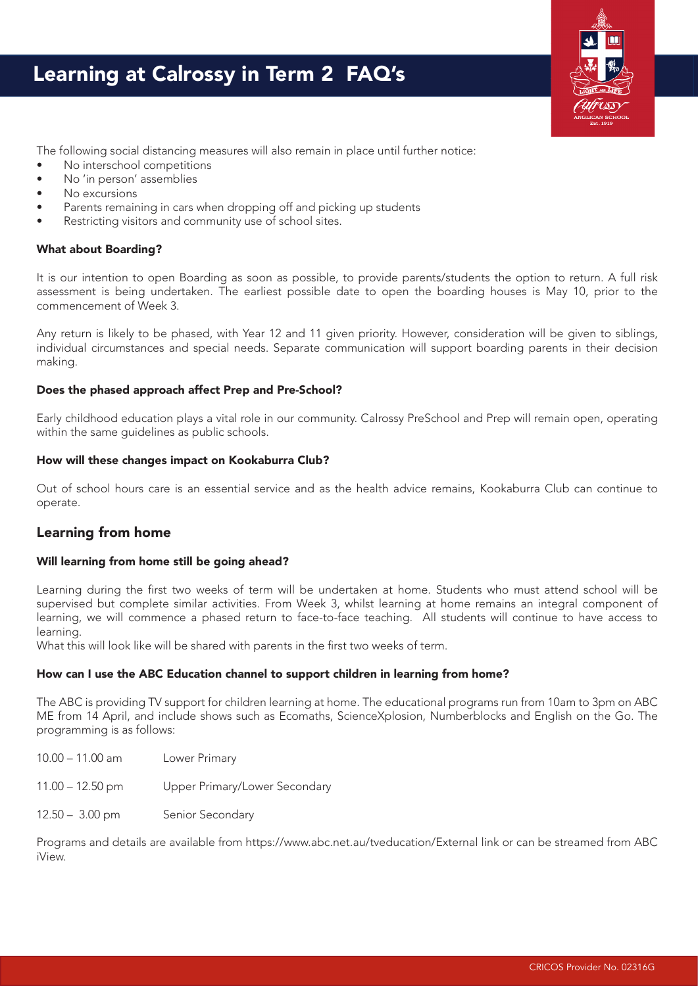# Learning at Calrossy in Term 2 FAQ's



The following social distancing measures will also remain in place until further notice:

- No interschool competitions
- No 'in person' assemblies
- No excursions
- Parents remaining in cars when dropping off and picking up students
- Restricting visitors and community use of school sites.

## What about Boarding?

It is our intention to open Boarding as soon as possible, to provide parents/students the option to return. A full risk assessment is being undertaken. The earliest possible date to open the boarding houses is May 10, prior to the commencement of Week 3.

Any return is likely to be phased, with Year 12 and 11 given priority. However, consideration will be given to siblings, individual circumstances and special needs. Separate communication will support boarding parents in their decision making.

## Does the phased approach affect Prep and Pre-School?

Early childhood education plays a vital role in our community. Calrossy PreSchool and Prep will remain open, operating within the same guidelines as public schools.

## How will these changes impact on Kookaburra Club?

Out of school hours care is an essential service and as the health advice remains, Kookaburra Club can continue to operate.

# Learning from home

## Will learning from home still be going ahead?

Learning during the first two weeks of term will be undertaken at home. Students who must attend school will be supervised but complete similar activities. From Week 3, whilst learning at home remains an integral component of learning, we will commence a phased return to face-to-face teaching. All students will continue to have access to learning.

What this will look like will be shared with parents in the first two weeks of term.

## How can I use the ABC Education channel to support children in learning from home?

The ABC is providing TV support for children learning at home. The educational programs run from 10am to 3pm on ABC ME from 14 April, and include shows such as Ecomaths, ScienceXplosion, Numberblocks and English on the Go. The programming is as follows:

| $10.00 - 11.00$ am | Lower Primary                 |
|--------------------|-------------------------------|
| $11.00 - 12.50$ pm | Upper Primary/Lower Secondary |
| $12.50 - 3.00$ pm  | Senior Secondary              |

Programs and details are available from https://www.abc.net.au/tveducation/External link or can be streamed from ABC iView.